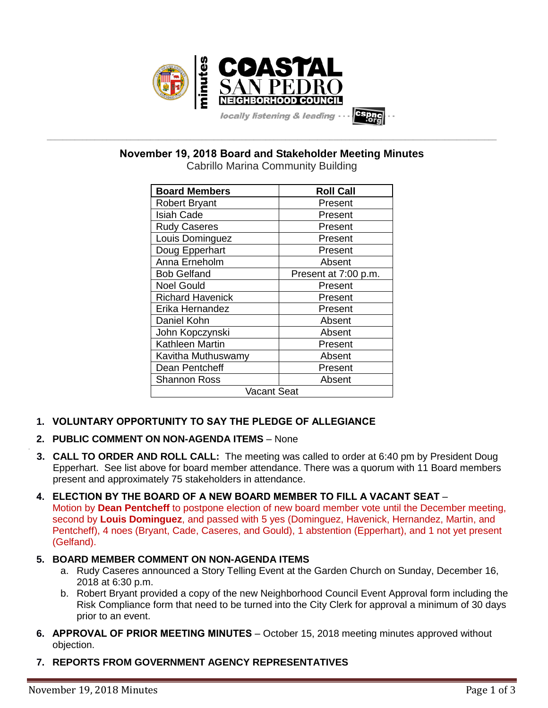

**\_\_\_\_\_\_\_\_\_\_\_\_\_\_\_\_\_\_\_\_\_\_\_\_\_\_\_\_\_\_\_\_\_\_\_\_\_\_\_\_\_\_\_\_\_\_\_\_\_\_\_\_\_\_\_\_\_\_\_\_\_\_\_\_\_\_\_\_\_\_\_\_\_\_\_\_\_\_\_\_\_\_\_\_\_\_\_\_\_\_\_\_\_\_\_\_\_\_\_\_\_\_\_\_\_\_\_\_\_\_\_\_\_ November 19, 2018 Board and Stakeholder Meeting Minutes**

| <b>Board Members</b>          | <b>Roll Call</b>     |  |  |
|-------------------------------|----------------------|--|--|
| <b>Robert Bryant</b>          | Present              |  |  |
| <b>Isiah Cade</b>             | Present              |  |  |
| <b>Rudy Caseres</b>           | Present              |  |  |
| Louis Dominguez               | Present              |  |  |
| Doug Epperhart                | Present              |  |  |
| Anna Erneholm                 | Absent               |  |  |
| <b>Bob Gelfand</b>            | Present at 7:00 p.m. |  |  |
| <b>Noel Gould</b>             | Present              |  |  |
| <b>Richard Havenick</b>       | Present              |  |  |
| Erika Hernandez               | Present              |  |  |
| Daniel Kohn                   | Absent               |  |  |
| John Kopczynski               | Absent               |  |  |
| <b>Kathleen Martin</b>        | Present              |  |  |
| Kavitha Muthuswamy            | Absent               |  |  |
| Dean Pentcheff                | Present              |  |  |
| Absent<br><b>Shannon Ross</b> |                      |  |  |
| Vacant Seat                   |                      |  |  |

# **1. VOLUNTARY OPPORTUNITY TO SAY THE PLEDGE OF ALLEGIANCE**

# **2. PUBLIC COMMENT ON NON-AGENDA ITEMS** – None

- **3. CALL TO ORDER AND ROLL CALL:** The meeting was called to order at 6:40 pm by President Doug Epperhart. See list above for board member attendance. There was a quorum with 11 Board members present and approximately 75 stakeholders in attendance.
- **4. ELECTION BY THE BOARD OF A NEW BOARD MEMBER TO FILL A VACANT SEAT** Motion by **Dean Pentcheff** to postpone election of new board member vote until the December meeting, second by **Louis Dominguez**, and passed with 5 yes (Dominguez, Havenick, Hernandez, Martin, and Pentcheff), 4 noes (Bryant, Cade, Caseres, and Gould), 1 abstention (Epperhart), and 1 not yet present (Gelfand).

# **5. BOARD MEMBER COMMENT ON NON-AGENDA ITEMS**

- a. Rudy Caseres announced a Story Telling Event at the Garden Church on Sunday, December 16, 2018 at 6:30 p.m.
- b. Robert Bryant provided a copy of the new Neighborhood Council Event Approval form including the Risk Compliance form that need to be turned into the City Clerk for approval a minimum of 30 days prior to an event.
- **6. APPROVAL OF PRIOR MEETING MINUTES** October 15, 2018 meeting minutes approved without objection.
- **7. REPORTS FROM GOVERNMENT AGENCY REPRESENTATIVES**

.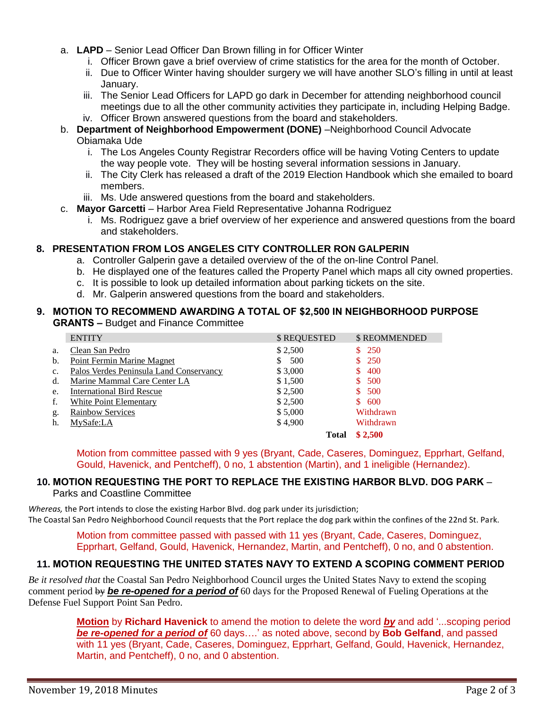- a. **LAPD** Senior Lead Officer Dan Brown filling in for Officer Winter
	- i. Officer Brown gave a brief overview of crime statistics for the area for the month of October.
	- ii. Due to Officer Winter having shoulder surgery we will have another SLO's filling in until at least January.
	- iii. The Senior Lead Officers for LAPD go dark in December for attending neighborhood council meetings due to all the other community activities they participate in, including Helping Badge. iv. Officer Brown answered questions from the board and stakeholders.
- b. **Department of Neighborhood Empowerment (DONE)** –Neighborhood Council Advocate Obiamaka Ude
	- i. The Los Angeles County Registrar Recorders office will be having Voting Centers to update the way people vote. They will be hosting several information sessions in January.
	- ii. The City Clerk has released a draft of the 2019 Election Handbook which she emailed to board members.
	- iii. Ms. Ude answered questions from the board and stakeholders.
- c. **Mayor Garcetti** Harbor Area Field Representative Johanna Rodriguez
	- i. Ms. Rodriguez gave a brief overview of her experience and answered questions from the board and stakeholders.

## **8. PRESENTATION FROM LOS ANGELES CITY CONTROLLER RON GALPERIN**

- a. Controller Galperin gave a detailed overview of the of the on-line Control Panel.
- b. He displayed one of the features called the Property Panel which maps all city owned properties.
- c. It is possible to look up detailed information about parking tickets on the site.
- d. Mr. Galperin answered questions from the board and stakeholders.

#### **9. MOTION TO RECOMMEND AWARDING A TOTAL OF \$2,500 IN NEIGHBORHOOD PURPOSE GRANTS –** Budget and Finance Committee

|    | <b>ENTITY</b>                           | \$ REQUESTED | <b>\$ REOMMENDED</b> |
|----|-----------------------------------------|--------------|----------------------|
| a. | Clean San Pedro                         | \$2,500      | 250<br>S.            |
| b. | Point Fermin Marine Magnet              | 500<br>S.    | <b>250</b>           |
| c. | Palos Verdes Peninsula Land Conservancy | \$3,000      | 400                  |
| d. | Marine Mammal Care Center LA            | \$1,500      | 500<br>S             |
| e. | <b>International Bird Rescue</b>        | \$2,500      | 500                  |
| f. | White Point Elementary                  | \$2,500      | 600<br>\$.           |
| g. | <b>Rainbow Services</b>                 | \$5,000      | Withdrawn            |
| h. | MySafe:LA                               | \$4,900      | Withdrawn            |
|    |                                         | Total        | \$2,500              |

Motion from committee passed with 9 yes (Bryant, Cade, Caseres, Dominguez, Epprhart, Gelfand, Gould, Havenick, and Pentcheff), 0 no, 1 abstention (Martin), and 1 ineligible (Hernandez).

## **10. MOTION REQUESTING THE PORT TO REPLACE THE EXISTING HARBOR BLVD. DOG PARK** – Parks and Coastline Committee

*Whereas,* the Port intends to close the existing Harbor Blvd. dog park under its jurisdiction; The Coastal San Pedro Neighborhood Council requests that the Port replace the dog park within the confines of the 22nd St. Park.

> Motion from committee passed with passed with 11 yes (Bryant, Cade, Caseres, Dominguez, Epprhart, Gelfand, Gould, Havenick, Hernandez, Martin, and Pentcheff), 0 no, and 0 abstention.

# **11. MOTION REQUESTING THE UNITED STATES NAVY TO EXTEND A SCOPING COMMENT PERIOD**

*Be it resolved that* the Coastal San Pedro Neighborhood Council urges the United States Navy to extend the scoping comment period by *be re-opened for a period of* 60 days for the Proposed Renewal of Fueling Operations at the Defense Fuel Support Point San Pedro.

> **Motion** by **Richard Havenick** to amend the motion to delete the word *by* and add '...scoping period *be re-opened for a period of* 60 days….' as noted above, second by **Bob Gelfand**, and passed with 11 yes (Bryant, Cade, Caseres, Dominguez, Epprhart, Gelfand, Gould, Havenick, Hernandez, Martin, and Pentcheff), 0 no, and 0 abstention.